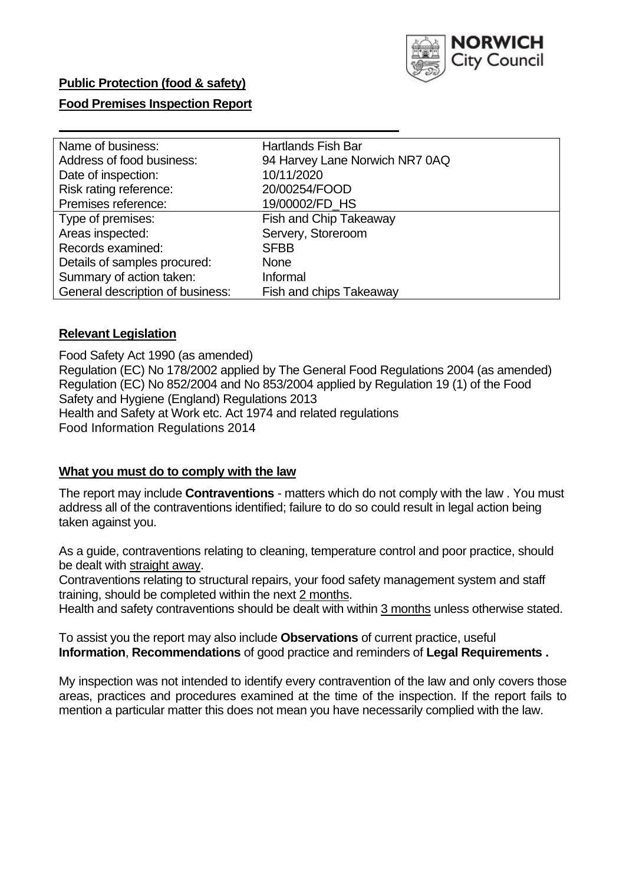

# **Public Protection (food & safety)**

#### **Food Premises Inspection Report**

| Name of business:                | <b>Hartlands Fish Bar</b>      |
|----------------------------------|--------------------------------|
| Address of food business:        | 94 Harvey Lane Norwich NR7 0AQ |
| Date of inspection:              | 10/11/2020                     |
| Risk rating reference:           | 20/00254/FOOD                  |
| Premises reference:              | 19/00002/FD_HS                 |
| Type of premises:                | <b>Fish and Chip Takeaway</b>  |
| Areas inspected:                 | Servery, Storeroom             |
| Records examined:                | <b>SFBB</b>                    |
| Details of samples procured:     | <b>None</b>                    |
| Summary of action taken:         | Informal                       |
| General description of business: | Fish and chips Takeaway        |

#### **Relevant Legislation**

 Food Safety Act 1990 (as amended) Regulation (EC) No 178/2002 applied by The General Food Regulations 2004 (as amended) Regulation (EC) No 852/2004 and No 853/2004 applied by Regulation 19 (1) of the Food Safety and Hygiene (England) Regulations 2013 Health and Safety at Work etc. Act 1974 and related regulations Food Information Regulations 2014

#### **What you must do to comply with the law**

 The report may include **Contraventions** - matters which do not comply with the law . You must address all of the contraventions identified; failure to do so could result in legal action being taken against you.

 As a guide, contraventions relating to cleaning, temperature control and poor practice, should be dealt with straight away.

 Contraventions relating to structural repairs, your food safety management system and staff training, should be completed within the next 2 months.

Health and safety contraventions should be dealt with within 3 months unless otherwise stated.

 To assist you the report may also include **Observations** of current practice, useful **Information**, **Recommendations** of good practice and reminders of **Legal Requirements .** 

 My inspection was not intended to identify every contravention of the law and only covers those areas, practices and procedures examined at the time of the inspection. If the report fails to mention a particular matter this does not mean you have necessarily complied with the law.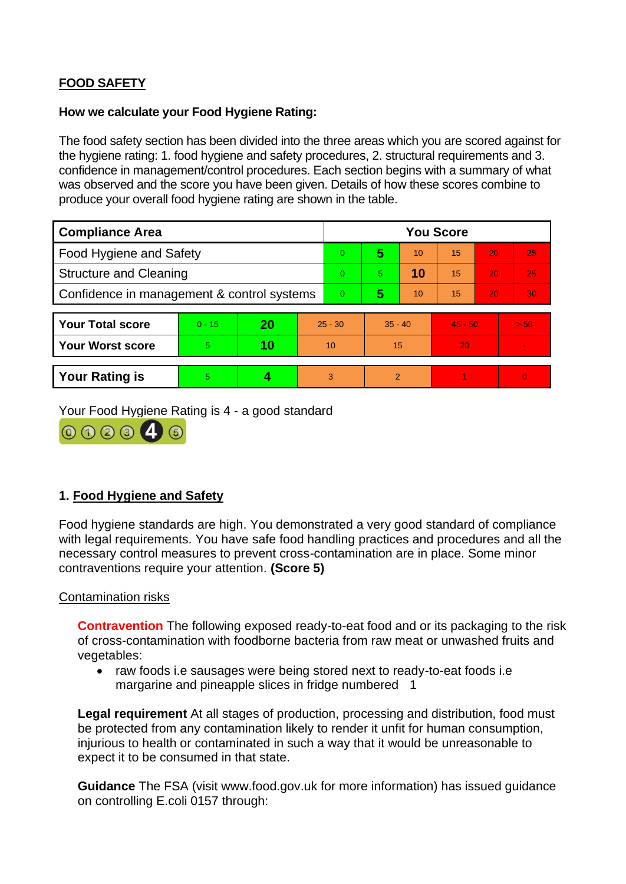# **FOOD SAFETY**

#### **How we calculate your Food Hygiene Rating:**

 The food safety section has been divided into the three areas which you are scored against for the hygiene rating: 1. food hygiene and safety procedures, 2. structural requirements and 3. confidence in management/control procedures. Each section begins with a summary of what was observed and the score you have been given. Details of how these scores combine to produce your overall food hygiene rating are shown in the table.

| <b>Compliance Area</b>                     |          |    |                | <b>You Score</b> |                |    |           |    |          |  |  |
|--------------------------------------------|----------|----|----------------|------------------|----------------|----|-----------|----|----------|--|--|
| Food Hygiene and Safety                    |          |    |                | $\overline{0}$   | 5              | 10 | 15        | 20 | 25       |  |  |
| <b>Structure and Cleaning</b>              |          |    | $\Omega$       | 5.               | 10             | 15 | 20        | 25 |          |  |  |
| Confidence in management & control systems |          |    | $\overline{0}$ | 5                | 10             | 15 | 20        | 30 |          |  |  |
|                                            |          |    |                |                  |                |    |           |    |          |  |  |
| <b>Your Total score</b>                    | $0 - 15$ | 20 | $25 - 30$      |                  | $35 - 40$      |    | $45 - 50$ |    | > 50     |  |  |
| <b>Your Worst score</b>                    | 5        | 10 | 10             |                  | 15             |    | 20        |    |          |  |  |
|                                            |          |    |                |                  |                |    |           |    |          |  |  |
| <b>Your Rating is</b>                      | 5        |    |                | 3                | $\overline{2}$ |    |           |    | $\Omega$ |  |  |

Your Food Hygiene Rating is 4 - a good standard



# **1. Food Hygiene and Safety**

 with legal requirements. You have safe food handling practices and procedures and all the Food hygiene standards are high. You demonstrated a very good standard of compliance necessary control measures to prevent cross-contamination are in place. Some minor contraventions require your attention. **(Score 5)** 

### Contamination risks

**Contravention** The following exposed ready-to-eat food and or its packaging to the risk of cross-contamination with foodborne bacteria from raw meat or unwashed fruits and vegetables:

 • raw foods i.e sausages were being stored next to ready-to-eat foods i.e margarine and pineapple slices in fridge numbered 1 margarine and pineapple slices in fridge numbered 1

 injurious to health or contaminated in such a way that it would be unreasonable to **Legal requirement** At all stages of production, processing and distribution, food must be protected from any contamination likely to render it unfit for human consumption, expect it to be consumed in that state.

 **Guidance** The FSA (visit <www.food.gov.uk> for more information) has issued guidance on controlling E.coli 0157 through: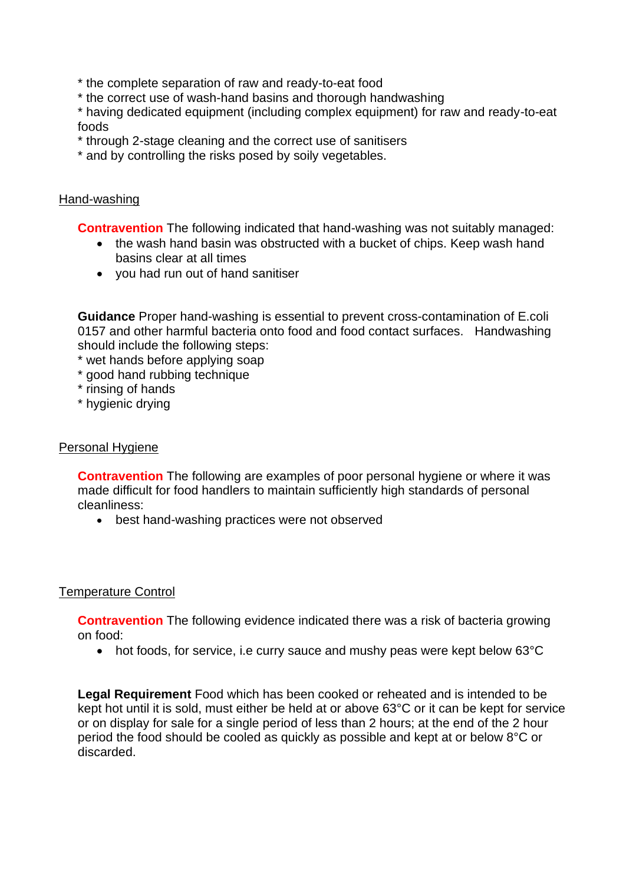\* the complete separation of raw and ready-to-eat food

\* the correct use of wash-hand basins and thorough handwashing

\* having dedicated equipment (including complex equipment) for raw and ready-to-eat foods

- \* through 2-stage cleaning and the correct use of sanitisers
- \* and by controlling the risks posed by soily vegetables.

## Hand-washing

**Contravention** The following indicated that hand-washing was not suitably managed:

- the wash hand basin was obstructed with a bucket of chips. Keep wash hand basins clear at all times
- you had run out of hand sanitiser

 **Guidance** Proper hand-washing is essential to prevent cross-contamination of E.coli 0157 and other harmful bacteria onto food and food contact surfaces. Handwashing should include the following steps:

\* wet hands before applying soap

- \* good hand rubbing technique
- \* rinsing of hands
- \* hygienic drying

## Personal Hygiene

 made difficult for food handlers to maintain sufficiently high standards of personal **Contravention** The following are examples of poor personal hygiene or where it was cleanliness:

• best hand-washing practices were not observed

### Temperature Control

 **Contravention** The following evidence indicated there was a risk of bacteria growing on food:

• hot foods, for service, i.e curry sauce and mushy peas were kept below 63°C

 or on display for sale for a single period of less than 2 hours; at the end of the 2 hour **Legal Requirement** Food which has been cooked or reheated and is intended to be kept hot until it is sold, must either be held at or above 63°C or it can be kept for service period the food should be cooled as quickly as possible and kept at or below 8°C or discarded.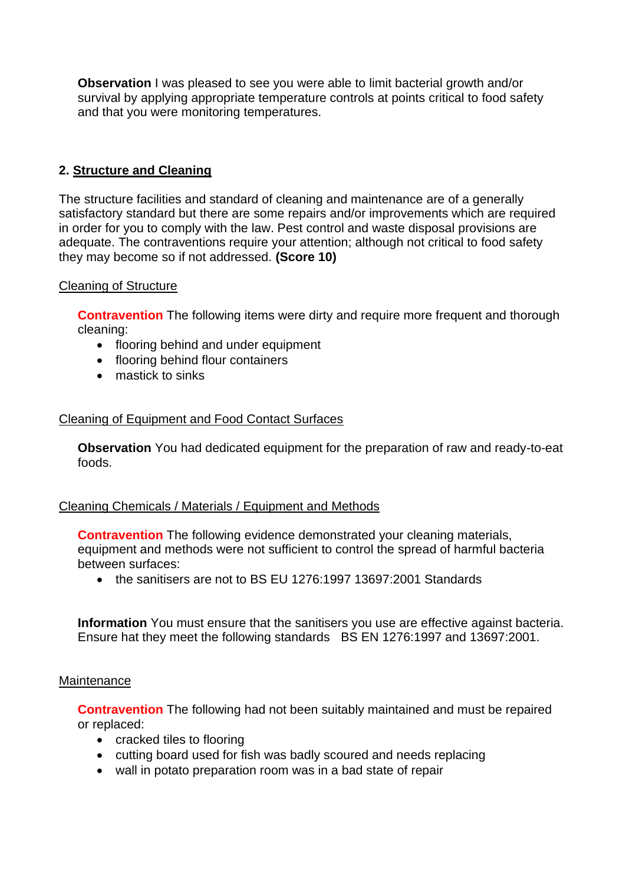**Observation** I was pleased to see you were able to limit bacterial growth and/or survival by applying appropriate temperature controls at points critical to food safety and that you were monitoring temperatures.

# **2. Structure and Cleaning**

The structure facilities and standard of cleaning and maintenance are of a generally satisfactory standard but there are some repairs and/or improvements which are required in order for you to comply with the law. Pest control and waste disposal provisions are adequate. The contraventions require your attention; although not critical to food safety they may become so if not addressed. **(Score 10)** 

### Cleaning of Structure

**Contravention** The following items were dirty and require more frequent and thorough cleaning:

- flooring behind and under equipment
- flooring behind flour containers
- mastick to sinks

### Cleaning of Equipment and Food Contact Surfaces

 **Observation** You had dedicated equipment for the preparation of raw and ready-to-eat foods.

### Cleaning Chemicals / Materials / Equipment and Methods

**Contravention** The following evidence demonstrated your cleaning materials, equipment and methods were not sufficient to control the spread of harmful bacteria between surfaces:

• the sanitisers are not to BS EU 1276:1997 13697:2001 Standards

 **Information** You must ensure that the sanitisers you use are effective against bacteria. Ensure hat they meet the following standards BS EN 1276:1997 and 13697:2001.

#### **Maintenance**

**Contravention** The following had not been suitably maintained and must be repaired or replaced:

- cracked tiles to flooring
- cutting board used for fish was badly scoured and needs replacing
- wall in potato preparation room was in a bad state of repair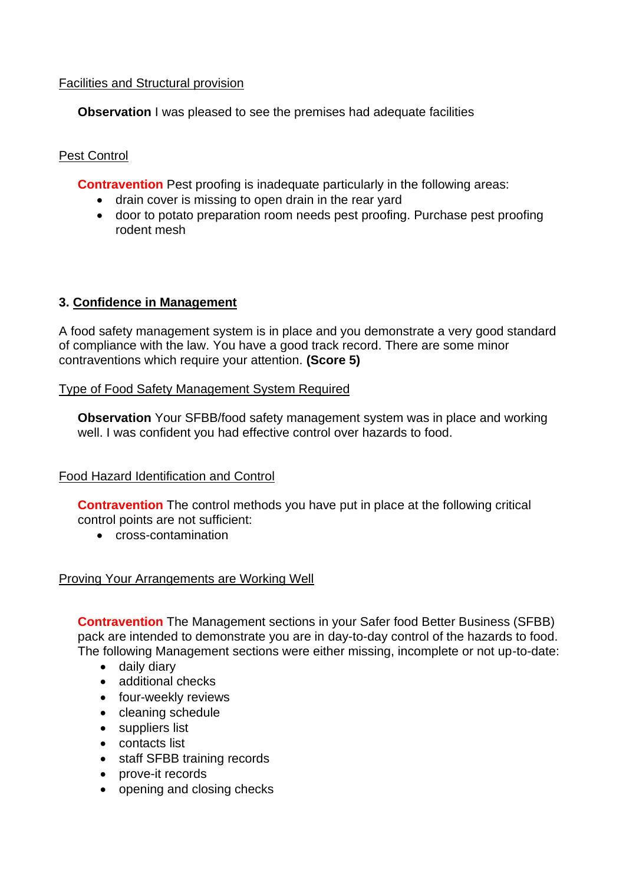# Facilities and Structural provision

**Observation** I was pleased to see the premises had adequate facilities

# Pest Control

**Contravention** Pest proofing is inadequate particularly in the following areas:

- drain cover is missing to open drain in the rear yard
- door to potato preparation room needs pest proofing. Purchase pest proofing rodent mesh

# **3. Confidence in Management**

A food safety management system is in place and you demonstrate a very good standard of compliance with the law. You have a good track record. There are some minor contraventions which require your attention. **(Score 5)** 

### Type of Food Safety Management System Required

**Observation** Your SFBB/food safety management system was in place and working well. I was confident you had effective control over hazards to food.

### Food Hazard Identification and Control

 **Contravention** The control methods you have put in place at the following critical control points are not sufficient:

• cross-contamination

### Proving Your Arrangements are Working Well

**Contravention** The Management sections in your Safer food Better Business (SFBB) pack are intended to demonstrate you are in day-to-day control of the hazards to food. The following Management sections were either missing, incomplete or not up-to-date:

- daily diary
- additional checks
- four-weekly reviews
- cleaning schedule
- suppliers list
- contacts list
- staff SFBB training records
- prove-it records
- opening and closing checks